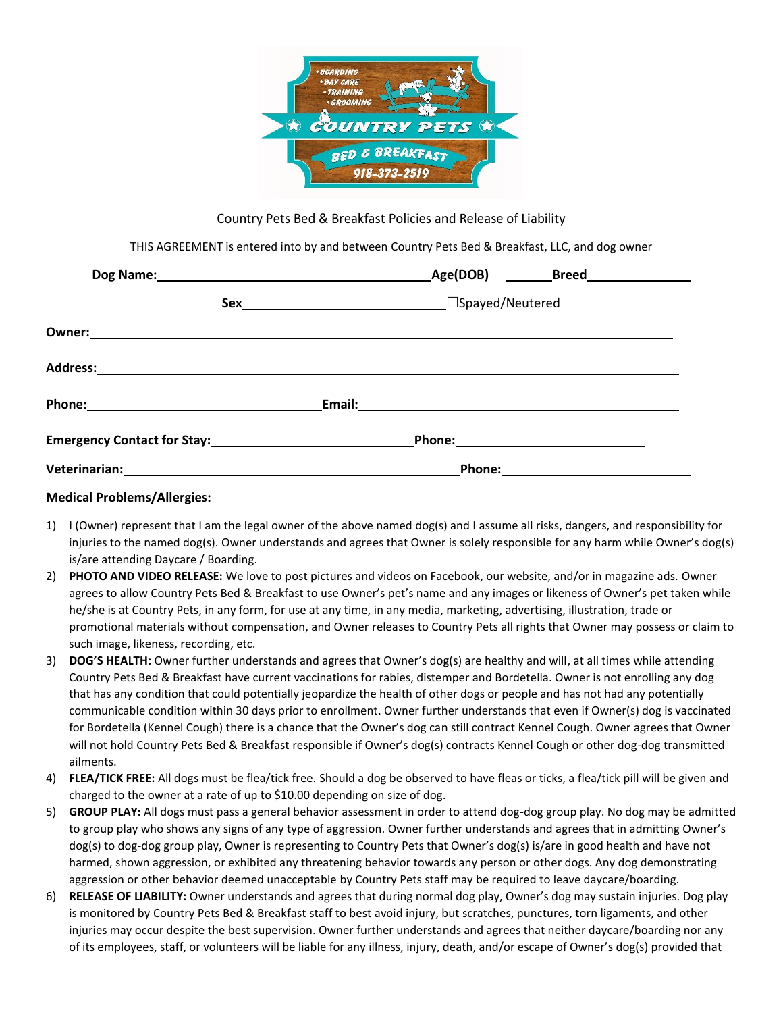

Country Pets Bed & Breakfast Policies and Release of Liability

THIS AGREEMENT is entered into by and between Country Pets Bed & Breakfast, LLC, and dog owner

| Phone: _________________________________                                                                      |  |  |  |  |
|---------------------------------------------------------------------------------------------------------------|--|--|--|--|
|                                                                                                               |  |  |  |  |
| Veterinarian: 1999 - 1999 - 1999 - 1999 - 1999 - 1999 - 1999 - 1999 - 1999 - 1999 - 1999 - 1999 - 1999 - 1999 |  |  |  |  |
|                                                                                                               |  |  |  |  |

- 1) I (Owner) represent that I am the legal owner of the above named dog(s) and I assume all risks, dangers, and responsibility for injuries to the named dog(s). Owner understands and agrees that Owner is solely responsible for any harm while Owner's dog(s) is/are attending Daycare / Boarding.
- 2) **PHOTO AND VIDEO RELEASE:** We love to post pictures and videos on Facebook, our website, and/or in magazine ads. Owner agrees to allow Country Pets Bed & Breakfast to use Owner's pet's name and any images or likeness of Owner's pet taken while he/she is at Country Pets, in any form, for use at any time, in any media, marketing, advertising, illustration, trade or promotional materials without compensation, and Owner releases to Country Pets all rights that Owner may possess or claim to such image, likeness, recording, etc.
- 3) **DOG'S HEALTH:** Owner further understands and agrees that Owner's dog(s) are healthy and will, at all times while attending Country Pets Bed & Breakfast have current vaccinations for rabies, distemper and Bordetella. Owner is not enrolling any dog that has any condition that could potentially jeopardize the health of other dogs or people and has not had any potentially communicable condition within 30 days prior to enrollment. Owner further understands that even if Owner(s) dog is vaccinated for Bordetella (Kennel Cough) there is a chance that the Owner's dog can still contract Kennel Cough. Owner agrees that Owner will not hold Country Pets Bed & Breakfast responsible if Owner's dog(s) contracts Kennel Cough or other dog-dog transmitted ailments.
- 4) **FLEA/TICK FREE:** All dogs must be flea/tick free. Should a dog be observed to have fleas or ticks, a flea/tick pill will be given and charged to the owner at a rate of up to \$10.00 depending on size of dog.
- 5) **GROUP PLAY:** All dogs must pass a general behavior assessment in order to attend dog-dog group play. No dog may be admitted to group play who shows any signs of any type of aggression. Owner further understands and agrees that in admitting Owner's dog(s) to dog-dog group play, Owner is representing to Country Pets that Owner's dog(s) is/are in good health and have not harmed, shown aggression, or exhibited any threatening behavior towards any person or other dogs. Any dog demonstrating aggression or other behavior deemed unacceptable by Country Pets staff may be required to leave daycare/boarding.
- 6) **RELEASE OF LIABILITY:** Owner understands and agrees that during normal dog play, Owner's dog may sustain injuries. Dog play is monitored by Country Pets Bed & Breakfast staff to best avoid injury, but scratches, punctures, torn ligaments, and other injuries may occur despite the best supervision. Owner further understands and agrees that neither daycare/boarding nor any of its employees, staff, or volunteers will be liable for any illness, injury, death, and/or escape of Owner's dog(s) provided that